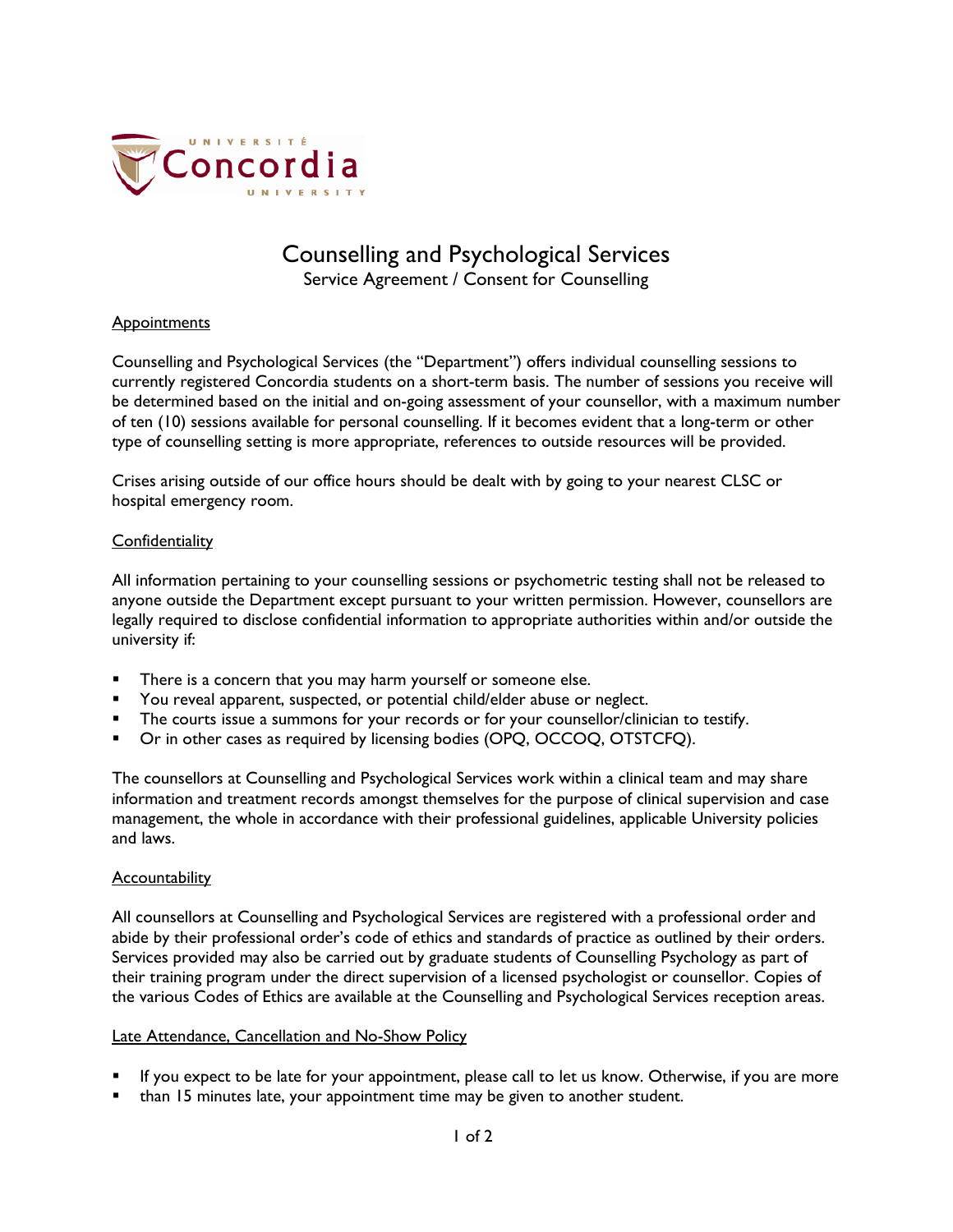

# Counselling and Psychological Services

Service Agreement / Consent for Counselling

### **Appointments**

Counselling and Psychological Services (the "Department") offers individual counselling sessions to currently registered Concordia students on a short-term basis. The number of sessions you receive will be determined based on the initial and on-going assessment of your counsellor, with a maximum number of ten (10) sessions available for personal counselling. If it becomes evident that a long-term or other type of counselling setting is more appropriate, references to outside resources will be provided.

Crises arising outside of our office hours should be dealt with by going to your nearest CLSC or hospital emergency room.

### **Confidentiality**

All information pertaining to your counselling sessions or psychometric testing shall not be released to anyone outside the Department except pursuant to your written permission. However, counsellors are legally required to disclose confidential information to appropriate authorities within and/or outside the university if:

- There is a concern that you may harm yourself or someone else.
- You reveal apparent, suspected, or potential child/elder abuse or neglect.
- The courts issue a summons for your records or for your counsellor/clinician to testify.
- Or in other cases as required by licensing bodies (OPQ, OCCOQ, OTSTCFQ).

The counsellors at Counselling and Psychological Services work within a clinical team and may share information and treatment records amongst themselves for the purpose of clinical supervision and case management, the whole in accordance with their professional guidelines, applicable University policies and laws.

### **Accountability**

All counsellors at Counselling and Psychological Services are registered with a professional order and abide by their professional order's code of ethics and standards of practice as outlined by their orders. Services provided may also be carried out by graduate students of Counselling Psychology as part of their training program under the direct supervision of a licensed psychologist or counsellor. Copies of the various Codes of Ethics are available at the Counselling and Psychological Services reception areas.

### Late Attendance, Cancellation and No-Show Policy

- If you expect to be late for your appointment, please call to let us know. Otherwise, if you are more
- than 15 minutes late, your appointment time may be given to another student.